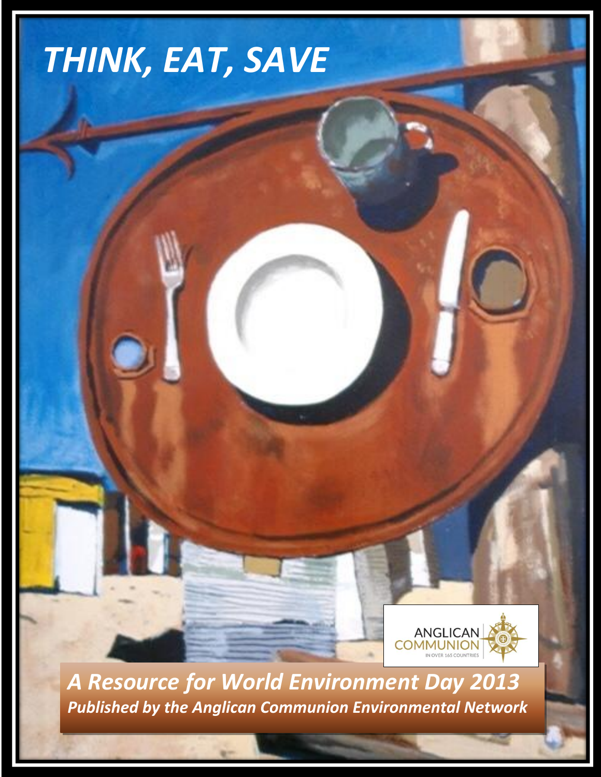# *THINK, EAT, SAVE*



*A Resource for World Environment Day 2013 Published by the Anglican Communion Environmental Network*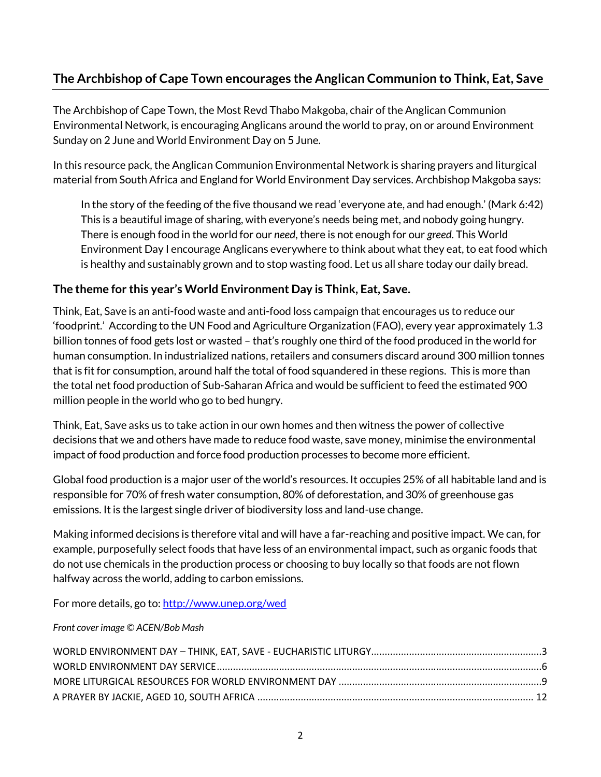## **The Archbishop of Cape Town encourages the Anglican Communion to Think, Eat, Save**

The Archbishop of Cape Town, the Most Revd Thabo Makgoba, chair of the Anglican Communion Environmental Network, is encouraging Anglicans around the world to pray, on or around Environment Sunday on 2 June and World Environment Day on 5 June.

In this resource pack, the Anglican Communion Environmental Network is sharing prayers and liturgical material from South Africa and England for World Environment Day services. Archbishop Makgoba says:

In the story of the feeding of the five thousand we read 'everyone ate, and had enough.' (Mark 6:42) This is a beautiful image of sharing, with everyone's needs being met, and nobody going hungry. There is enough food in the world for our *need*, there is not enough for our *greed*. This World Environment Day I encourage Anglicans everywhere to think about what they eat, to eat food which is healthy and sustainably grown and to stop wasting food. Let us all share today our daily bread.

#### **The theme for this year's World Environment Day is Think, Eat, Save.**

Think, Eat, Save is an anti-food waste and anti-food loss campaign that encourages us to reduce our 'foodprint.' According to the UN Food and Agriculture Organization (FAO), every year approximately 1.3 billion tonnes of food gets lost or wasted – that's roughly one third of the food produced in the world for human consumption. In industrialized nations, retailers and consumers discard around 300 million tonnes that is fit for consumption, around half the total of food squandered in these regions. This is more than the total net food production of Sub-Saharan Africa and would be sufficient to feed the estimated 900 million people in the world who go to bed hungry.

Think, Eat, Save asks us to take action in our own homes and then witness the power of collective decisions that we and others have made to reduce food waste, save money, minimise the environmental impact of food production and force food production processes to become more efficient.

Global food production is a major user of the world's resources. It occupies 25% of all habitable land and is responsible for 70% of fresh water consumption, 80% of deforestation, and 30% of greenhouse gas emissions. It is the largest single driver of biodiversity loss and land-use change.

Making informed decisions is therefore vital and will have a far-reaching and positive impact. We can, for example, purposefully select foods that have less of an environmental impact, such as organic foods that do not use chemicals in the production process or choosing to buy locally so that foods are not flown halfway across the world, adding to carbon emissions.

For more details, go to: http://www.unep.org/wed

*Front cover image © ACEN/Bob Mash*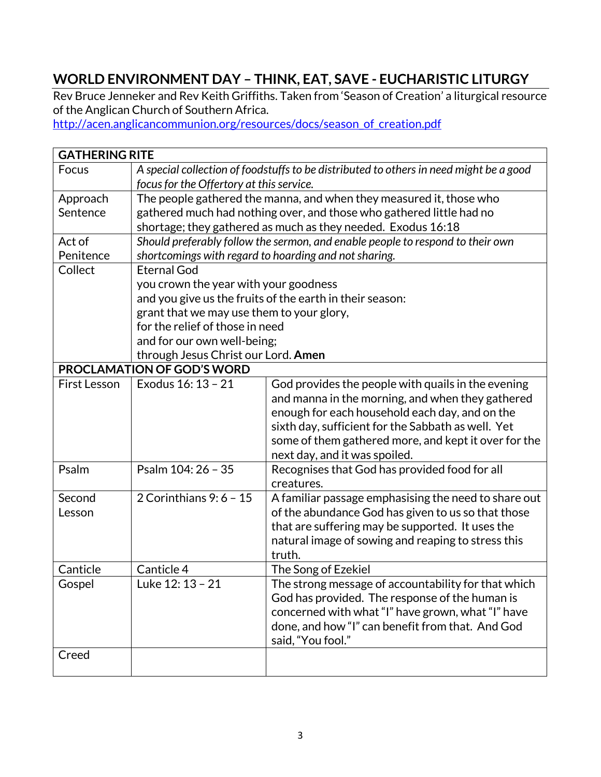# <span id="page-2-0"></span>**WORLD ENVIRONMENT DAY – THINK, EAT, SAVE - EUCHARISTIC LITURGY**

Rev Bruce Jenneker and Rev Keith Griffiths. Taken from 'Season of Creation' a liturgical resource of the Anglican Church of Southern Africa.

[http://acen.anglicancommunion.org/resources/docs/season\\_of\\_creation.pdf](http://acen.anglicancommunion.org/resources/docs/season_of_creation.pdf)

|                     | <b>GATHERING RITE</b>                                                                  |                                                                      |  |  |
|---------------------|----------------------------------------------------------------------------------------|----------------------------------------------------------------------|--|--|
| Focus               | A special collection of foodstuffs to be distributed to others in need might be a good |                                                                      |  |  |
|                     | focus for the Offertory at this service.                                               |                                                                      |  |  |
| Approach            | The people gathered the manna, and when they measured it, those who                    |                                                                      |  |  |
| Sentence            |                                                                                        | gathered much had nothing over, and those who gathered little had no |  |  |
|                     |                                                                                        | shortage; they gathered as much as they needed. Exodus 16:18         |  |  |
| Act of              | Should preferably follow the sermon, and enable people to respond to their own         |                                                                      |  |  |
| Penitence           | shortcomings with regard to hoarding and not sharing.                                  |                                                                      |  |  |
| Collect             | <b>Eternal God</b>                                                                     |                                                                      |  |  |
|                     | you crown the year with your goodness                                                  |                                                                      |  |  |
|                     |                                                                                        | and you give us the fruits of the earth in their season:             |  |  |
|                     | grant that we may use them to your glory,                                              |                                                                      |  |  |
|                     | for the relief of those in need                                                        |                                                                      |  |  |
|                     | and for our own well-being;                                                            |                                                                      |  |  |
|                     | through Jesus Christ our Lord. Amen                                                    |                                                                      |  |  |
|                     | <b>PROCLAMATION OF GOD'S WORD</b>                                                      |                                                                      |  |  |
| <b>First Lesson</b> | Exodus 16: 13 - 21                                                                     | God provides the people with quails in the evening                   |  |  |
|                     |                                                                                        | and manna in the morning, and when they gathered                     |  |  |
|                     |                                                                                        | enough for each household each day, and on the                       |  |  |
|                     |                                                                                        | sixth day, sufficient for the Sabbath as well. Yet                   |  |  |
|                     |                                                                                        | some of them gathered more, and kept it over for the                 |  |  |
|                     |                                                                                        | next day, and it was spoiled.                                        |  |  |
| Psalm               | Psalm 104: 26 - 35                                                                     | Recognises that God has provided food for all                        |  |  |
|                     |                                                                                        | creatures.                                                           |  |  |
| Second              | 2 Corinthians 9: 6 - 15                                                                | A familiar passage emphasising the need to share out                 |  |  |
| Lesson              |                                                                                        | of the abundance God has given to us so that those                   |  |  |
|                     |                                                                                        | that are suffering may be supported. It uses the                     |  |  |
|                     |                                                                                        | natural image of sowing and reaping to stress this                   |  |  |
|                     |                                                                                        | truth.                                                               |  |  |
| Canticle            | Canticle 4                                                                             | The Song of Ezekiel                                                  |  |  |
| Gospel              | Luke 12: 13 - 21                                                                       | The strong message of accountability for that which                  |  |  |
|                     |                                                                                        | God has provided. The response of the human is                       |  |  |
|                     |                                                                                        | concerned with what "I" have grown, what "I" have                    |  |  |
|                     |                                                                                        | done, and how "I" can benefit from that. And God                     |  |  |
|                     |                                                                                        | said, "You fool."                                                    |  |  |
| Creed               |                                                                                        |                                                                      |  |  |
|                     |                                                                                        |                                                                      |  |  |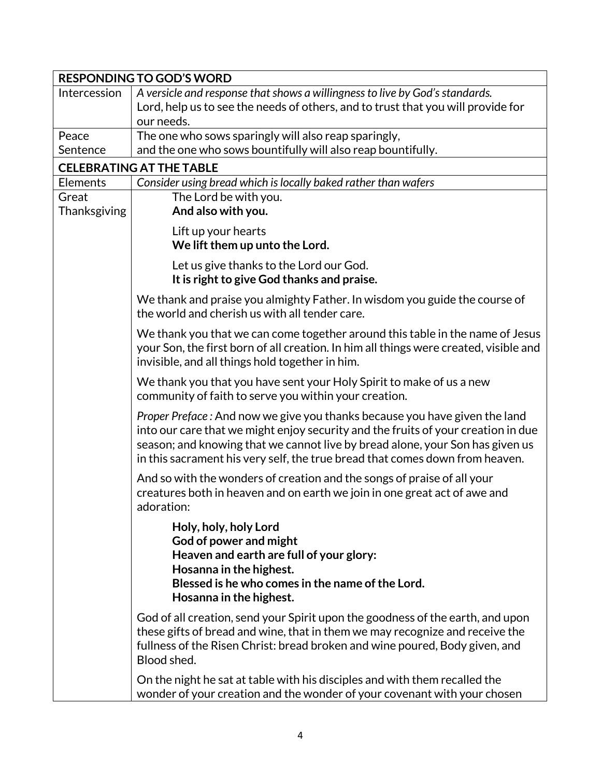| <b>RESPONDING TO GOD'S WORD</b> |                                                                                                                                                                                                                                                                                                                                  |  |  |  |
|---------------------------------|----------------------------------------------------------------------------------------------------------------------------------------------------------------------------------------------------------------------------------------------------------------------------------------------------------------------------------|--|--|--|
| Intercession                    | A versicle and response that shows a willingness to live by God's standards.                                                                                                                                                                                                                                                     |  |  |  |
|                                 | Lord, help us to see the needs of others, and to trust that you will provide for                                                                                                                                                                                                                                                 |  |  |  |
|                                 | our needs.                                                                                                                                                                                                                                                                                                                       |  |  |  |
| Peace                           | The one who sows sparingly will also reap sparingly,                                                                                                                                                                                                                                                                             |  |  |  |
| Sentence                        | and the one who sows bountifully will also reap bountifully.                                                                                                                                                                                                                                                                     |  |  |  |
| <b>CELEBRATING AT THE TABLE</b> |                                                                                                                                                                                                                                                                                                                                  |  |  |  |
| Elements                        | Consider using bread which is locally baked rather than wafers                                                                                                                                                                                                                                                                   |  |  |  |
| Great                           | The Lord be with you.                                                                                                                                                                                                                                                                                                            |  |  |  |
| Thanksgiving                    | And also with you.                                                                                                                                                                                                                                                                                                               |  |  |  |
|                                 | Lift up your hearts                                                                                                                                                                                                                                                                                                              |  |  |  |
|                                 | We lift them up unto the Lord.                                                                                                                                                                                                                                                                                                   |  |  |  |
|                                 | Let us give thanks to the Lord our God.                                                                                                                                                                                                                                                                                          |  |  |  |
|                                 | It is right to give God thanks and praise.                                                                                                                                                                                                                                                                                       |  |  |  |
|                                 |                                                                                                                                                                                                                                                                                                                                  |  |  |  |
|                                 | We thank and praise you almighty Father. In wisdom you guide the course of<br>the world and cherish us with all tender care.                                                                                                                                                                                                     |  |  |  |
|                                 | We thank you that we can come together around this table in the name of Jesus<br>your Son, the first born of all creation. In him all things were created, visible and<br>invisible, and all things hold together in him.                                                                                                        |  |  |  |
|                                 | We thank you that you have sent your Holy Spirit to make of us a new<br>community of faith to serve you within your creation.                                                                                                                                                                                                    |  |  |  |
|                                 | Proper Preface: And now we give you thanks because you have given the land<br>into our care that we might enjoy security and the fruits of your creation in due<br>season; and knowing that we cannot live by bread alone, your Son has given us<br>in this sacrament his very self, the true bread that comes down from heaven. |  |  |  |
|                                 | And so with the wonders of creation and the songs of praise of all your<br>creatures both in heaven and on earth we join in one great act of awe and<br>adoration:                                                                                                                                                               |  |  |  |
|                                 | Holy, holy, holy Lord<br>God of power and might<br>Heaven and earth are full of your glory:<br>Hosanna in the highest.<br>Blessed is he who comes in the name of the Lord.<br>Hosanna in the highest.                                                                                                                            |  |  |  |
|                                 | God of all creation, send your Spirit upon the goodness of the earth, and upon<br>these gifts of bread and wine, that in them we may recognize and receive the<br>fullness of the Risen Christ: bread broken and wine poured, Body given, and<br>Blood shed.                                                                     |  |  |  |
|                                 | On the night he sat at table with his disciples and with them recalled the<br>wonder of your creation and the wonder of your covenant with your chosen                                                                                                                                                                           |  |  |  |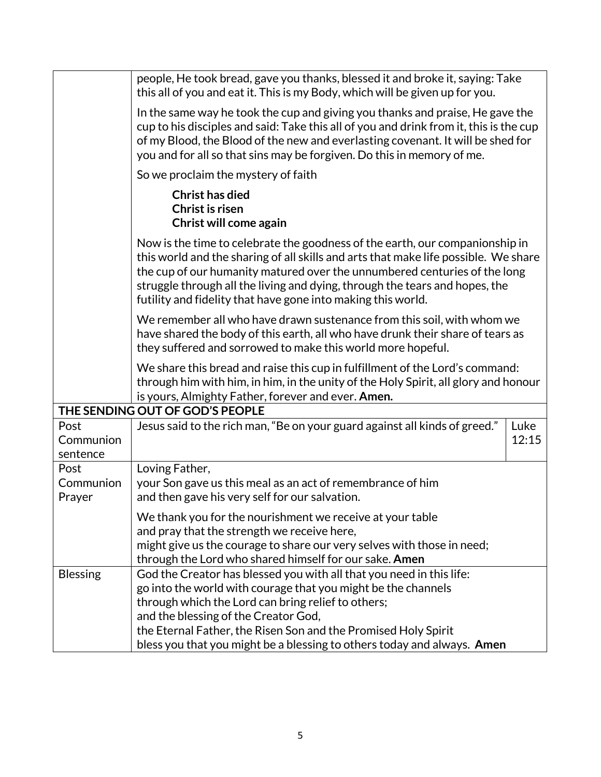|                                 | people, He took bread, gave you thanks, blessed it and broke it, saying: Take<br>this all of you and eat it. This is my Body, which will be given up for you.                                                                                                                                                                                                                                   |  |  |  |  |
|---------------------------------|-------------------------------------------------------------------------------------------------------------------------------------------------------------------------------------------------------------------------------------------------------------------------------------------------------------------------------------------------------------------------------------------------|--|--|--|--|
|                                 | In the same way he took the cup and giving you thanks and praise, He gave the<br>cup to his disciples and said: Take this all of you and drink from it, this is the cup<br>of my Blood, the Blood of the new and everlasting covenant. It will be shed for<br>you and for all so that sins may be forgiven. Do this in memory of me.                                                            |  |  |  |  |
|                                 | So we proclaim the mystery of faith                                                                                                                                                                                                                                                                                                                                                             |  |  |  |  |
|                                 | <b>Christ has died</b><br>Christ is risen<br>Christ will come again                                                                                                                                                                                                                                                                                                                             |  |  |  |  |
|                                 | Now is the time to celebrate the goodness of the earth, our companionship in<br>this world and the sharing of all skills and arts that make life possible. We share<br>the cup of our humanity matured over the unnumbered centuries of the long<br>struggle through all the living and dying, through the tears and hopes, the<br>futility and fidelity that have gone into making this world. |  |  |  |  |
|                                 | We remember all who have drawn sustenance from this soil, with whom we<br>have shared the body of this earth, all who have drunk their share of tears as<br>they suffered and sorrowed to make this world more hopeful.                                                                                                                                                                         |  |  |  |  |
|                                 | We share this bread and raise this cup in fulfillment of the Lord's command:<br>through him with him, in him, in the unity of the Holy Spirit, all glory and honour<br>is yours, Almighty Father, forever and ever. Amen.                                                                                                                                                                       |  |  |  |  |
| THE SENDING OUT OF GOD'S PEOPLE |                                                                                                                                                                                                                                                                                                                                                                                                 |  |  |  |  |
| Post<br>Communion<br>sentence   | Jesus said to the rich man, "Be on your guard against all kinds of greed."<br>Luke<br>12:15                                                                                                                                                                                                                                                                                                     |  |  |  |  |
| Post<br>Communion<br>Prayer     | Loving Father,<br>your Son gave us this meal as an act of remembrance of him<br>and then gave his very self for our salvation.                                                                                                                                                                                                                                                                  |  |  |  |  |
|                                 | We thank you for the nourishment we receive at your table<br>and pray that the strength we receive here,<br>might give us the courage to share our very selves with those in need;<br>through the Lord who shared himself for our sake. Amen                                                                                                                                                    |  |  |  |  |
| <b>Blessing</b>                 | God the Creator has blessed you with all that you need in this life:<br>go into the world with courage that you might be the channels<br>through which the Lord can bring relief to others;<br>and the blessing of the Creator God,<br>the Eternal Father, the Risen Son and the Promised Holy Spirit<br>bless you that you might be a blessing to others today and always. Amen                |  |  |  |  |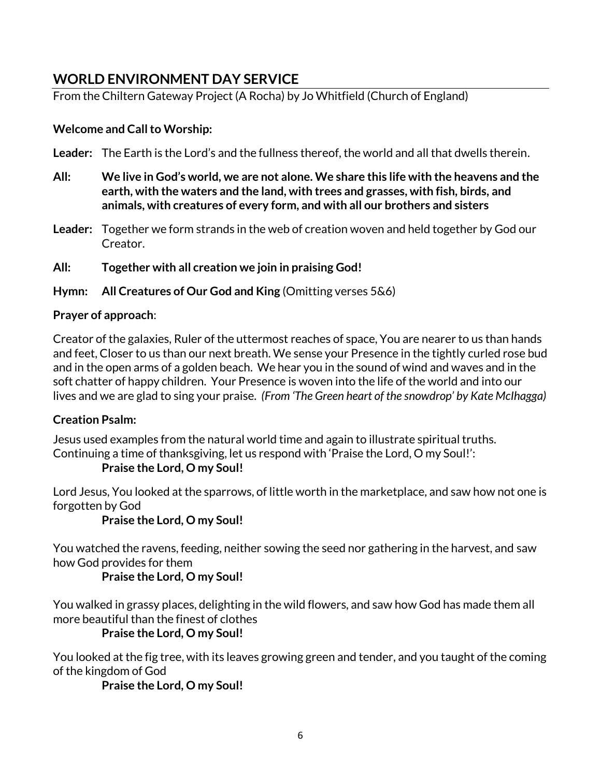## <span id="page-5-0"></span>**WORLD ENVIRONMENT DAY SERVICE**

From the Chiltern Gateway Project (A Rocha) by Jo Whitfield (Church of England)

#### **Welcome and Call to Worship:**

**Leader:** The Earth is the Lord's and the fullness thereof, the world and all that dwells therein.

- **All: We live in God's world, we are not alone. We share this life with the heavens and the earth, with the waters and the land, with trees and grasses, with fish, birds, and animals, with creatures of every form, and with all our brothers and sisters**
- **Leader:** Together we form strands in the web of creation woven and held together by God our Creator.

**All: Together with all creation we join in praising God!**

**Hymn: All Creatures of Our God and King** (Omitting verses 5&6)

#### **Prayer of approach**:

Creator of the galaxies, Ruler of the uttermost reaches of space, You are nearer to us than hands and feet, Closer to us than our next breath. We sense your Presence in the tightly curled rose bud and in the open arms of a golden beach. We hear you in the sound of wind and waves and in the soft chatter of happy children. Your Presence is woven into the life of the world and into our lives and we are glad to sing your praise. *(From 'The Green heart of the snowdrop' by Kate McIhagga)*

## **Creation Psalm:**

Jesus used examples from the natural world time and again to illustrate spiritual truths. Continuing a time of thanksgiving, let us respond with 'Praise the Lord, O my Soul!':

## **Praise the Lord, O my Soul!**

Lord Jesus, You looked at the sparrows, of little worth in the marketplace, and saw how not one is forgotten by God

**Praise the Lord, O my Soul!**

You watched the ravens, feeding, neither sowing the seed nor gathering in the harvest, and saw how God provides for them

**Praise the Lord, O my Soul!**

You walked in grassy places, delighting in the wild flowers, and saw how God has made them all more beautiful than the finest of clothes

## **Praise the Lord, O my Soul!**

You looked at the fig tree, with its leaves growing green and tender, and you taught of the coming of the kingdom of God

**Praise the Lord, O my Soul!**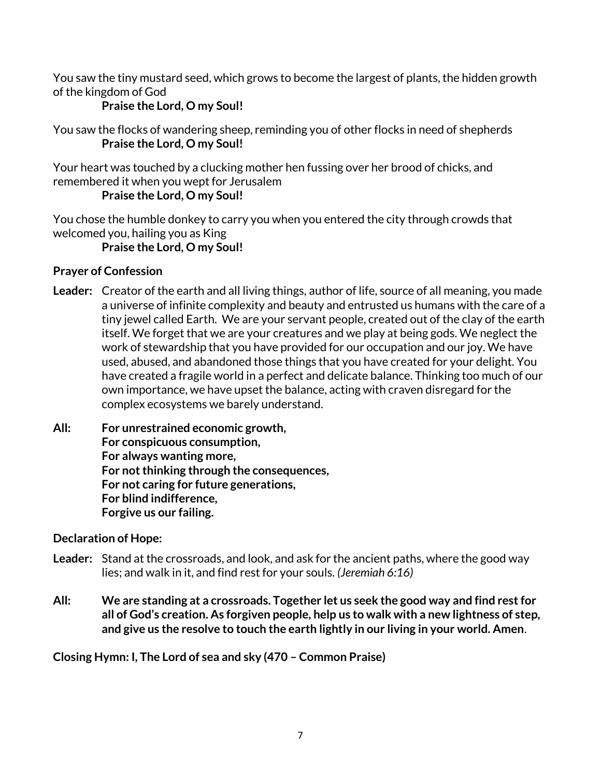You saw the tiny mustard seed, which grows to become the largest of plants, the hidden growth of the kingdom of God

## **Praise the Lord, O my Soul!**

You saw the flocks of wandering sheep, reminding you of other flocks in need of shepherds **Praise the Lord, O my Soul!**

Your heart was touched by a clucking mother hen fussing over her brood of chicks, and remembered it when you wept for Jerusalem

## **Praise the Lord, O my Soul!**

You chose the humble donkey to carry you when you entered the city through crowds that welcomed you, hailing you as King

## **Praise the Lord, O my Soul!**

#### **Prayer of Confession**

- **Leader:** Creator of the earth and all living things, author of life, source of all meaning, you made a universe of infinite complexity and beauty and entrusted us humans with the care of a tiny jewel called Earth. We are your servant people, created out of the clay of the earth itself. We forget that we are your creatures and we play at being gods. We neglect the work of stewardship that you have provided for our occupation and our joy. We have used, abused, and abandoned those things that you have created for your delight. You have created a fragile world in a perfect and delicate balance. Thinking too much of our own importance, we have upset the balance, acting with craven disregard for the complex ecosystems we barely understand.
- **All: For unrestrained economic growth, For conspicuous consumption, For always wanting more, For not thinking through the consequences, For not caring for future generations, For blind indifference, Forgive us our failing.**

#### **Declaration of Hope:**

- **Leader:** Stand at the crossroads, and look, and ask for the ancient paths, where the good way lies; and walk in it, and find rest for your souls. *(Jeremiah 6:16)*
- **All: We are standing at a crossroads. Together let us seek the good way and find rest for all of God's creation. As forgiven people, help us to walk with a new lightness of step, and give us the resolve to touch the earth lightly in our living in your world. Amen**.

**Closing Hymn: I, The Lord of sea and sky (470 – Common Praise)**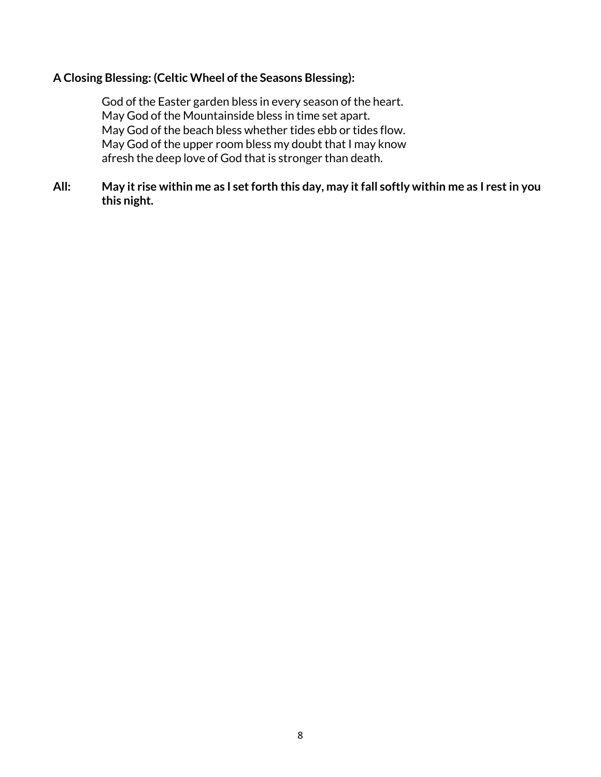#### **A Closing Blessing: (Celtic Wheel of the Seasons Blessing):**

God of the Easter garden bless in every season of the heart. May God of the Mountainside bless in time set apart. May God of the beach bless whether tides ebb or tides flow. May God of the upper room bless my doubt that I may know afresh the deep love of God that is stronger than death.

**All: May it rise within me as I set forth this day, may it fall softly within me as I rest in you this night.**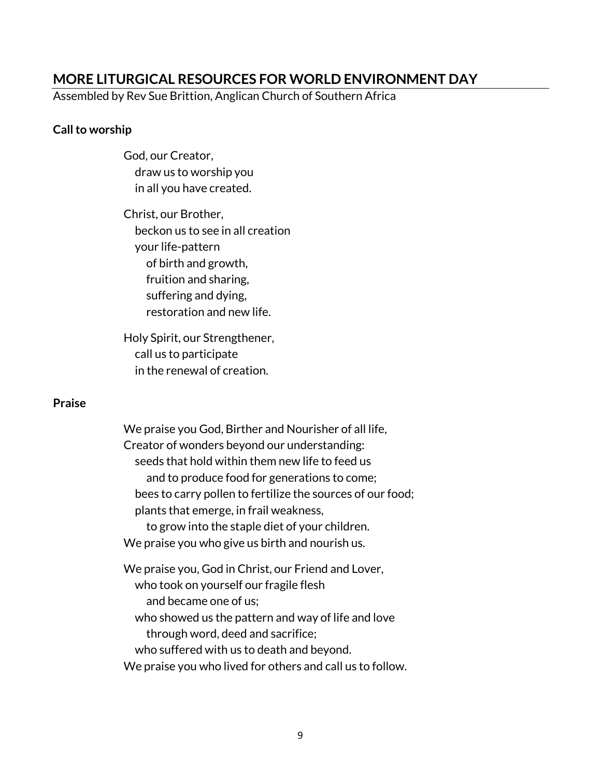## <span id="page-8-0"></span>**MORE LITURGICAL RESOURCES FOR WORLD ENVIRONMENT DAY**

Assembled by Rev Sue Brittion, Anglican Church of Southern Africa

#### **Call to worship**

God, our Creator, draw us to worship you in all you have created.

Christ, our Brother, beckon us to see in all creation your life-pattern of birth and growth, fruition and sharing, suffering and dying, restoration and new life.

Holy Spirit, our Strengthener, call us to participate in the renewal of creation.

#### **Praise**

We praise you God, Birther and Nourisher of all life, Creator of wonders beyond our understanding: seeds that hold within them new life to feed us and to produce food for generations to come; bees to carry pollen to fertilize the sources of our food; plants that emerge, in frail weakness, to grow into the staple diet of your children. We praise you who give us birth and nourish us. We praise you, God in Christ, our Friend and Lover,

 who took on yourself our fragile flesh and became one of us; who showed us the pattern and way of life and love through word, deed and sacrifice; who suffered with us to death and beyond. We praise you who lived for others and call us to follow.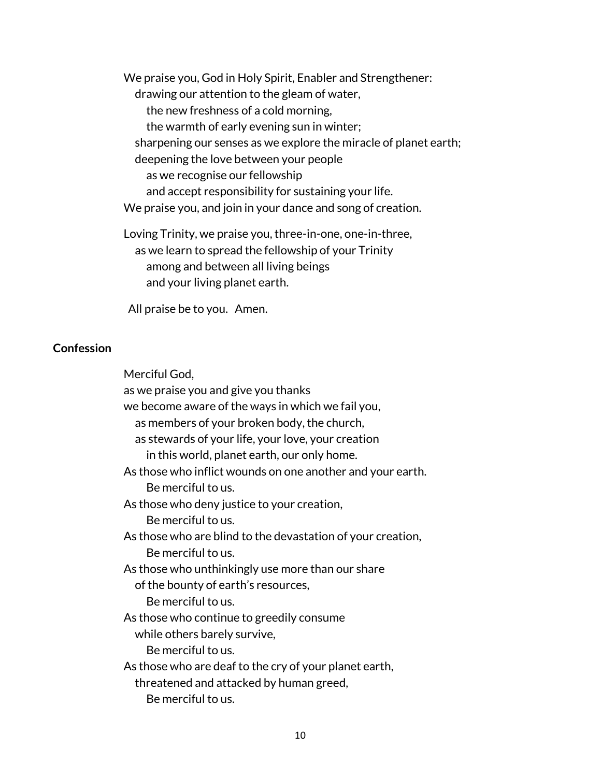We praise you, God in Holy Spirit, Enabler and Strengthener: drawing our attention to the gleam of water, the new freshness of a cold morning, the warmth of early evening sun in winter; sharpening our senses as we explore the miracle of planet earth; deepening the love between your people as we recognise our fellowship and accept responsibility for sustaining your life. We praise you, and join in your dance and song of creation. Loving Trinity, we praise you, three-in-one, one-in-three,

 as we learn to spread the fellowship of your Trinity among and between all living beings and your living planet earth.

All praise be to you. Amen.

#### **Confession**

Merciful God,

as we praise you and give you thanks we become aware of the ways in which we fail you, as members of your broken body, the church, as stewards of your life, your love, your creation in this world, planet earth, our only home. As those who inflict wounds on one another and your earth. Be merciful to us. As those who deny justice to your creation, Be merciful to us. As those who are blind to the devastation of your creation, Be merciful to us. As those who unthinkingly use more than our share of the bounty of earth's resources, Be merciful to us. As those who continue to greedily consume while others barely survive, Be merciful to us. As those who are deaf to the cry of your planet earth, threatened and attacked by human greed, Be merciful to us.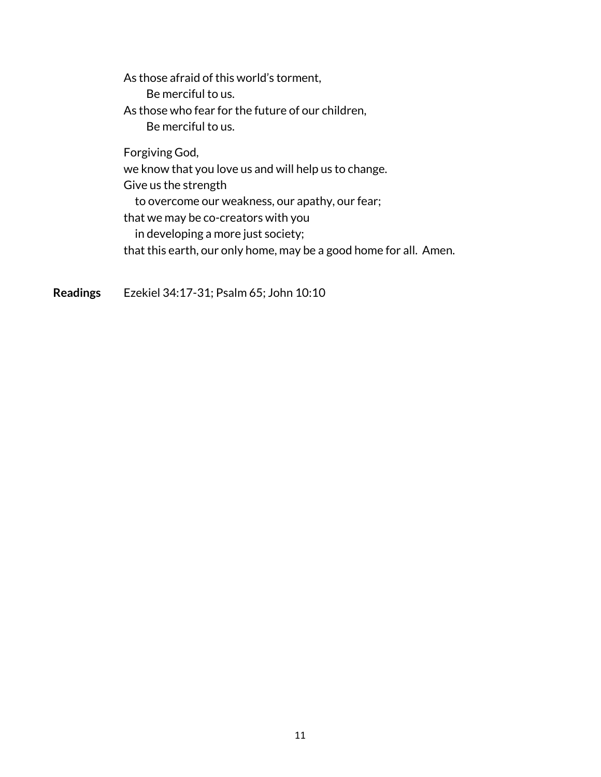As those afraid of this world's torment, Be merciful to us. As those who fear for the future of our children, Be merciful to us.

Forgiving God, we know that you love us and will help us to change. Give us the strength to overcome our weakness, our apathy, our fear; that we may be co-creators with you in developing a more just society; that this earth, our only home, may be a good home for all. Amen.

**Readings** Ezekiel 34:17-31; Psalm 65; John 10:10